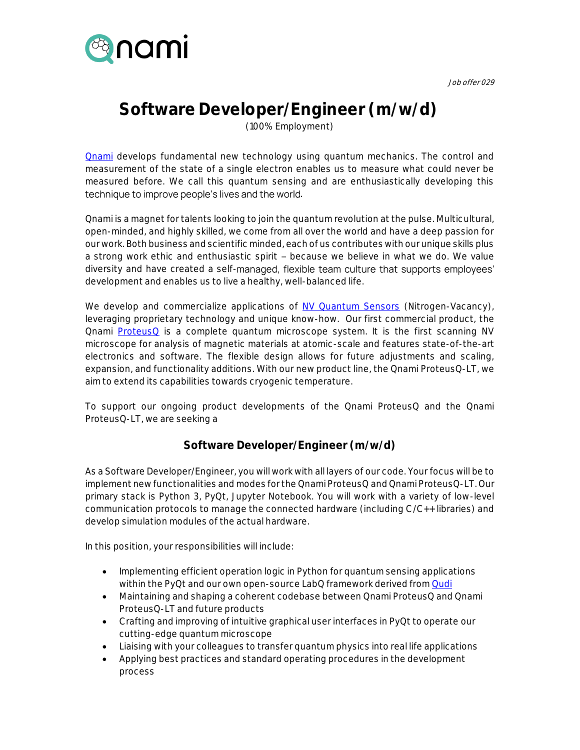



## **Software Developer/Engineer (m/w/d)**

(100% Employment)

**[Qnami](http://www.qnami.ch/)** develops fundamental new technology using quantum mechanics. The control and measurement of the state of a single electron enables us to measure what could never be measured before. We call this quantum sensing and are enthusiastically developing this technique to improve people's lives and the world.

Qnami is a magnet for talents looking to join the quantum revolution at the pulse. Multicultural, open-minded, and highly skilled, we come from all over the world and have a deep passion for our work. Both business and scientific minded, each of us contributes with our unique skills plus a strong work ethic and enthusiastic spirit - because we believe in what we do. We value diversity and have created a self-managed, flexible team culture that supports employees' development and enables us to live a healthy, well-balanced life.

We develop and commercialize applications of [NV Quantum Sensors](https://qnami.ch/technology/) (Nitrogen-Vacancy), leveraging proprietary technology and unique know-how. Our first commercial product, the Qnami **[ProteusQ](https://qnami.ch/portfolio/proteusq/)** is a complete quantum microscope system. It is the first scanning NV microscope for analysis of magnetic materials at atomic-scale and features state-of-the-art electronics and software. The flexible design allows for future adjustments and scaling, expansion, and functionality additions. With our new product line, the Qnami ProteusQ-LT, we aim to extend its capabilities towards cryogenic temperature.

To support our ongoing product developments of the Qnami ProteusQ and the Qnami ProteusQ-LT, we are seeking a

## **Software Developer/Engineer (m/w/d)**

As a Software Developer/Engineer, you will work with all layers of our code. Your focus will be to implement new functionalities and modes for the Qnami ProteusQ and Qnami ProteusQ-LT. Our primary stack is Python 3, PyQt, Jupyter Notebook. You will work with a variety of low-level communication protocols to manage the connected hardware (including C/C++ libraries) and develop simulation modules of the actual hardware.

In this position, your responsibilities will include:

- Implementing efficient operation logic in Python for quantum sensing applications within the PyQt and our own open-source LabQ framework derived fro[m Qudi](https://github.com/Ulm-IQO/qudi)
- Maintaining and shaping a coherent codebase between Qnami ProteusQ and Qnami ProteusQ-LT and future products
- Crafting and improving of intuitive graphical user interfaces in PyQt to operate our cutting-edge quantum microscope
- Liaising with your colleagues to transfer quantum physics into real life applications
- Applying best practices and standard operating procedures in the development process